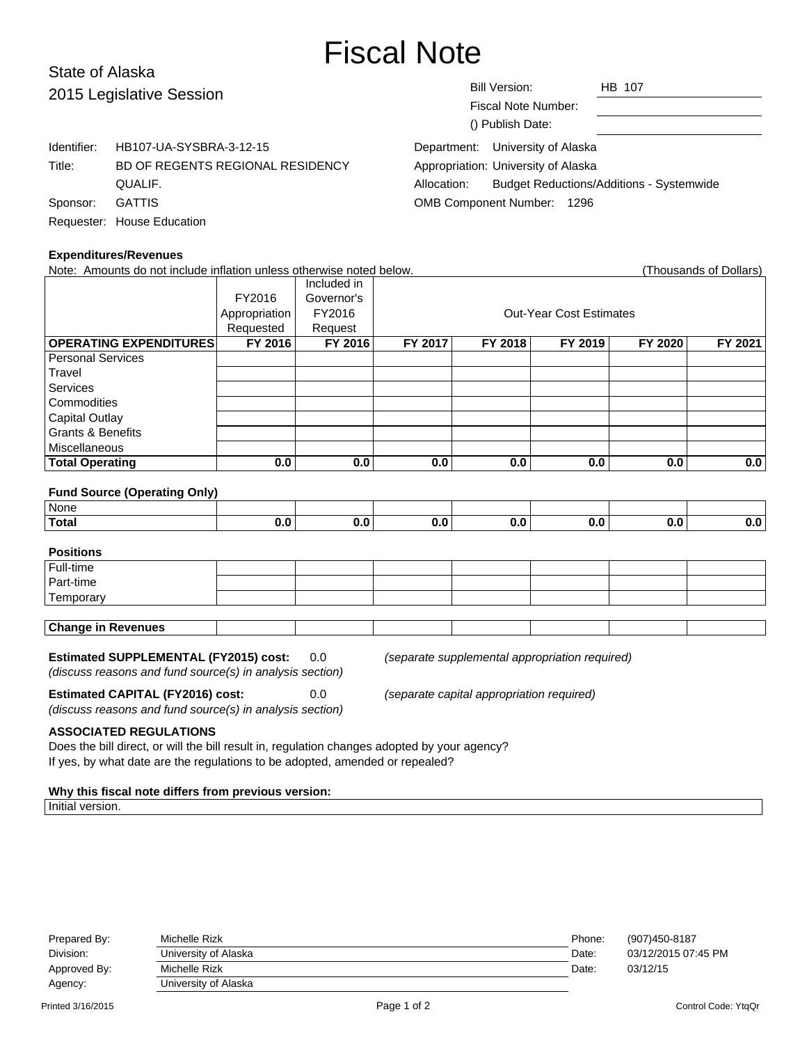# Fiscal Note

# State of Alaska 2015 Legislative Sessi

| 2015 Legislative Session |                                  | <b>Bill Version:</b>                | HB 107                                          |  |  |
|--------------------------|----------------------------------|-------------------------------------|-------------------------------------------------|--|--|
|                          |                                  | Fiscal Note Number:                 |                                                 |  |  |
|                          |                                  | () Publish Date:                    |                                                 |  |  |
| Identifier:              | HB107-UA-SYSBRA-3-12-15          | Department: University of Alaska    |                                                 |  |  |
| Title:                   | BD OF REGENTS REGIONAL RESIDENCY | Appropriation: University of Alaska |                                                 |  |  |
|                          | QUALIF.                          | Allocation:                         | <b>Budget Reductions/Additions - Systemwide</b> |  |  |
| Sponsor:                 | <b>GATTIS</b>                    | <b>OMB Component Number: 1296</b>   |                                                 |  |  |
|                          | Requester: House Education       |                                     |                                                 |  |  |

### **Expenditures/Revenues**

| Note: Amounts do not include inflation unless otherwise noted below. |               |             |         |         |                                |         | (Thousands of Dollars) |
|----------------------------------------------------------------------|---------------|-------------|---------|---------|--------------------------------|---------|------------------------|
|                                                                      |               | Included in |         |         |                                |         |                        |
|                                                                      | FY2016        | Governor's  |         |         |                                |         |                        |
|                                                                      | Appropriation | FY2016      |         |         | <b>Out-Year Cost Estimates</b> |         |                        |
|                                                                      | Requested     | Request     |         |         |                                |         |                        |
| <b>OPERATING EXPENDITURES</b>                                        | FY 2016       | FY 2016     | FY 2017 | FY 2018 | FY 2019                        | FY 2020 | FY 2021                |
| <b>Personal Services</b>                                             |               |             |         |         |                                |         |                        |
| Travel                                                               |               |             |         |         |                                |         |                        |
| <b>Services</b>                                                      |               |             |         |         |                                |         |                        |
| Commodities                                                          |               |             |         |         |                                |         |                        |
| Capital Outlay                                                       |               |             |         |         |                                |         |                        |
| <b>Grants &amp; Benefits</b>                                         |               |             |         |         |                                |         |                        |
| <b>Miscellaneous</b>                                                 |               |             |         |         |                                |         |                        |
| <b>Total Operating</b>                                               | 0.0           | 0.0         | 0.0     | 0.0     | 0.0                            | 0.0     | 0.0                    |
|                                                                      |               |             |         |         |                                |         |                        |
| <b>Fund Source (Operating Only)</b>                                  |               |             |         |         |                                |         |                        |
| None                                                                 |               |             |         |         |                                |         |                        |
| <b>Total</b>                                                         | 0.0           | 0.0         | 0.0     | 0.0     | 0.0                            | 0.0     | 0.0                    |
|                                                                      |               |             |         |         |                                |         |                        |
| <b>Positions</b>                                                     |               |             |         |         |                                |         |                        |

| Full-time                 |  |  |  |  |
|---------------------------|--|--|--|--|
| Part-time                 |  |  |  |  |
| Temporary                 |  |  |  |  |
|                           |  |  |  |  |
| <b>Change in Revenues</b> |  |  |  |  |

**Estimated SUPPLEMENTAL (FY2015) cost:** 0.0 (separate supplemental appropriation required) (discuss reasons and fund source(s) in analysis section)

**Estimated CAPITAL (FY2016) cost:** 0.0 (separate capital appropriation required) (discuss reasons and fund source(s) in analysis section)

## **ASSOCIATED REGULATIONS**

Does the bill direct, or will the bill result in, regulation changes adopted by your agency? If yes, by what date are the regulations to be adopted, amended or repealed?

## **Why this fiscal note differs from previous version:**

Initial version.

| Prepared By: | Michelle Rizk        | Phone: | (907)450-8187       |
|--------------|----------------------|--------|---------------------|
| Division:    | University of Alaska | Date:  | 03/12/2015 07:45 PM |
| Approved By: | Michelle Rizk        | Date:  | 03/12/15            |
| Agency:      | University of Alaska |        |                     |